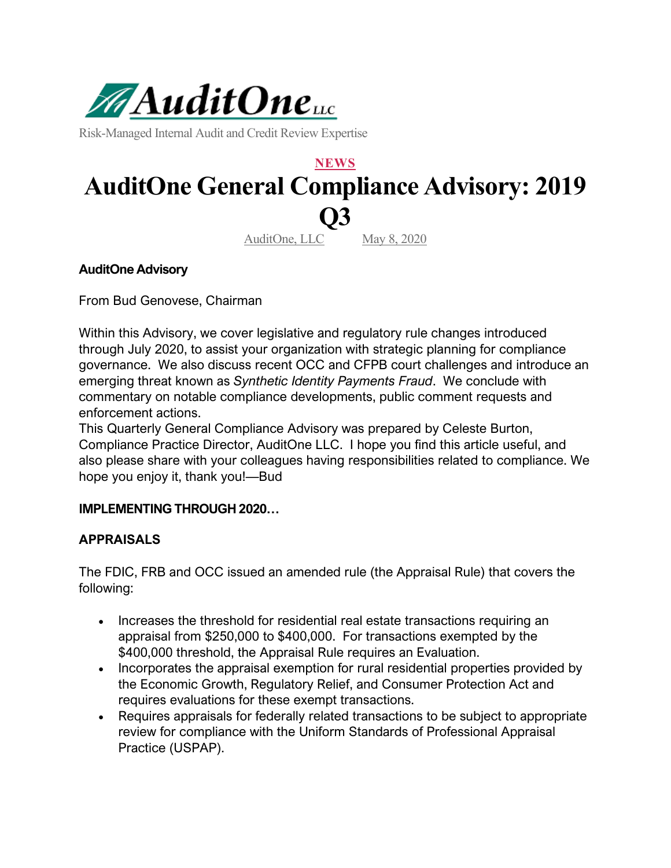

Risk-Managed Internal Audit and Credit Review Expertise

# **NEWS AuditOne General Compliance Advisory: 2019 Q3**

AuditOne, LLC May 8, 2020

**AuditOne Advisory**

From Bud Genovese, Chairman

Within this Advisory, we cover legislative and regulatory rule changes introduced through July 2020, to assist your organization with strategic planning for compliance governance. We also discuss recent OCC and CFPB court challenges and introduce an emerging threat known as *Synthetic Identity Payments Fraud*. We conclude with commentary on notable compliance developments, public comment requests and enforcement actions.

This Quarterly General Compliance Advisory was prepared by Celeste Burton, Compliance Practice Director, AuditOne LLC. I hope you find this article useful, and also please share with your colleagues having responsibilities related to compliance. We hope you enjoy it, thank you!—Bud

#### **IMPLEMENTING THROUGH 2020…**

#### **APPRAISALS**

The FDIC, FRB and OCC issued an amended rule (the Appraisal Rule) that covers the following:

- Increases the threshold for residential real estate transactions requiring an appraisal from \$250,000 to \$400,000. For transactions exempted by the \$400,000 threshold, the Appraisal Rule requires an Evaluation.
- Incorporates the appraisal exemption for rural residential properties provided by the Economic Growth, Regulatory Relief, and Consumer Protection Act and requires evaluations for these exempt transactions.
- Requires appraisals for federally related transactions to be subject to appropriate review for compliance with the Uniform Standards of Professional Appraisal Practice (USPAP).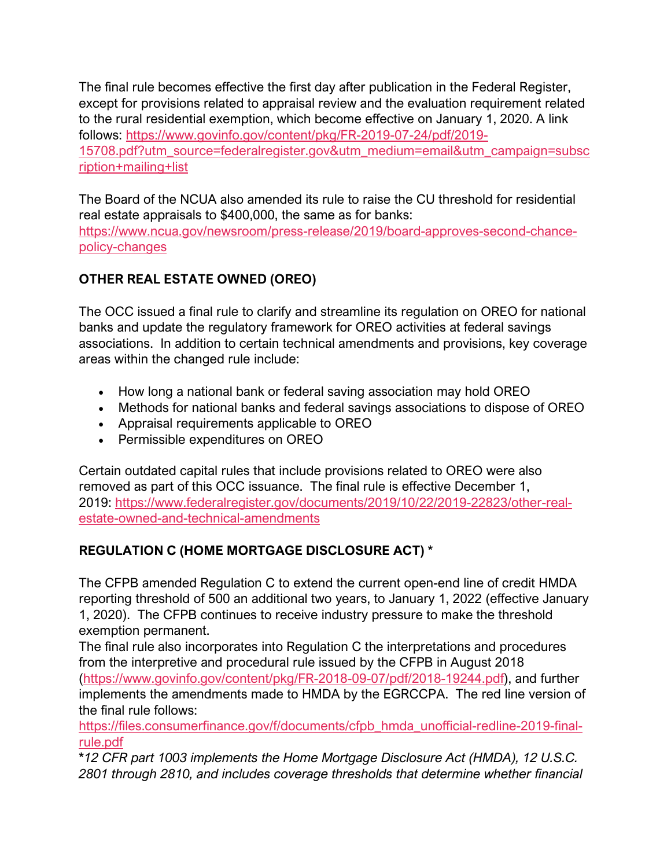The final rule becomes effective the first day after publication in the Federal Register, except for provisions related to appraisal review and the evaluation requirement related to the rural residential exemption, which become effective on January 1, 2020. A link follows: [https://www.govinfo.gov/content/pkg/FR-2019-07-24/pdf/2019-](https://www.govinfo.gov/content/pkg/FR-2019-07-24/pdf/2019-15708.pdf?utm_source=federalregister.gov&utm_medium=email&utm_campaign=subscription+mailing+list) [15708.pdf?utm\\_source=federalregister.gov&utm\\_medium=email&utm\\_campaign=subsc](https://www.govinfo.gov/content/pkg/FR-2019-07-24/pdf/2019-15708.pdf?utm_source=federalregister.gov&utm_medium=email&utm_campaign=subscription+mailing+list) [ription+mailing+list](https://www.govinfo.gov/content/pkg/FR-2019-07-24/pdf/2019-15708.pdf?utm_source=federalregister.gov&utm_medium=email&utm_campaign=subscription+mailing+list)

The Board of the NCUA also amended its rule to raise the CU threshold for residential real estate appraisals to \$400,000, the same as for banks: [https://www.ncua.gov/newsroom/press-release/2019/board-approves-second-chance](https://www.ncua.gov/newsroom/press-release/2019/board-approves-second-chance-policy-changes)[policy-changes](https://www.ncua.gov/newsroom/press-release/2019/board-approves-second-chance-policy-changes)

# **OTHER REAL ESTATE OWNED (OREO)**

The OCC issued a final rule to clarify and streamline its regulation on OREO for national banks and update the regulatory framework for OREO activities at federal savings associations. In addition to certain technical amendments and provisions, key coverage areas within the changed rule include:

- How long a national bank or federal saving association may hold OREO
- Methods for national banks and federal savings associations to dispose of OREO
- Appraisal requirements applicable to OREO
- Permissible expenditures on OREO

Certain outdated capital rules that include provisions related to OREO were also removed as part of this OCC issuance. The final rule is effective December 1, 2019: [https://www.federalregister.gov/documents/2019/10/22/2019-22823/other-real](https://www.federalregister.gov/documents/2019/10/22/2019-22823/other-real-estate-owned-and-technical-amendments)[estate-owned-and-technical-amendments](https://www.federalregister.gov/documents/2019/10/22/2019-22823/other-real-estate-owned-and-technical-amendments)

# **REGULATION C (HOME MORTGAGE DISCLOSURE ACT) \***

The CFPB amended Regulation C to extend the current open-end line of credit HMDA reporting threshold of 500 an additional two years, to January 1, 2022 (effective January 1, 2020). The CFPB continues to receive industry pressure to make the threshold exemption permanent.

The final rule also incorporates into Regulation C the interpretations and procedures from the interpretive and procedural rule issued by the CFPB in August 2018 [\(https://www.govinfo.gov/content/pkg/FR-2018-09-07/pdf/2018-19244.pdf\)](https://www.govinfo.gov/content/pkg/FR-2018-09-07/pdf/2018-19244.pdf), and further implements the amendments made to HMDA by the EGRCCPA. The red line version of the final rule follows:

[https://files.consumerfinance.gov/f/documents/cfpb\\_hmda\\_unofficial-redline-2019-final](https://files.consumerfinance.gov/f/documents/cfpb_hmda_unofficial-redline-2019-final-rule.pdf)[rule.pdf](https://files.consumerfinance.gov/f/documents/cfpb_hmda_unofficial-redline-2019-final-rule.pdf)

**\****12 CFR part 1003 implements the Home Mortgage Disclosure Act (HMDA), 12 U.S.C. 2801 through 2810, and includes coverage thresholds that determine whether financial*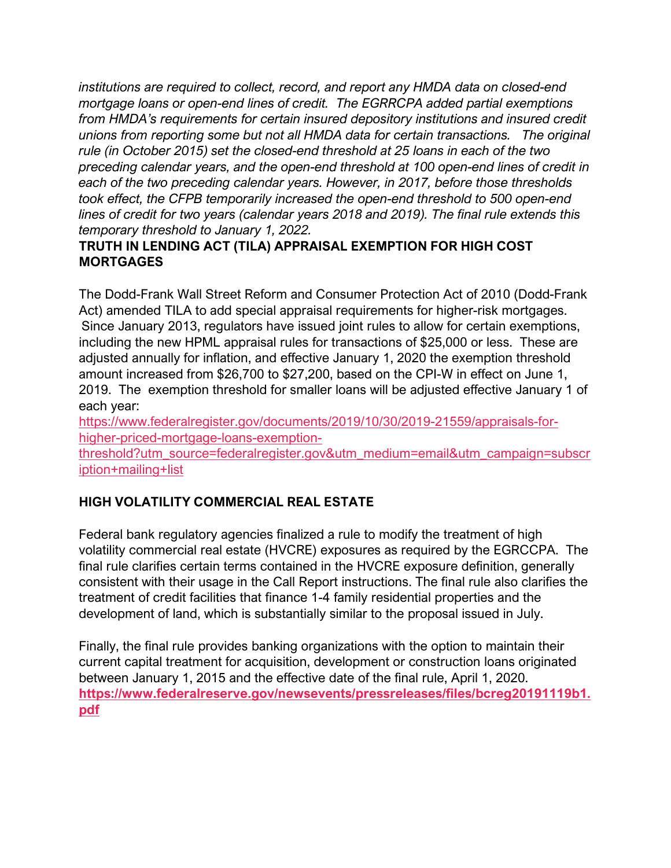*institutions are required to collect, record, and report any HMDA data on closed-end mortgage loans or open-end lines of credit. The EGRRCPA added partial exemptions from HMDA's requirements for certain insured depository institutions and insured credit unions from reporting some but not all HMDA data for certain transactions. The original rule (in October 2015) set the closed-end threshold at 25 loans in each of the two preceding calendar years, and the open-end threshold at 100 open-end lines of credit in each of the two preceding calendar years. However, in 2017, before those thresholds took effect, the CFPB temporarily increased the open-end threshold to 500 open-end lines of credit for two years (calendar years 2018 and 2019). The final rule extends this temporary threshold to January 1, 2022.*

## **TRUTH IN LENDING ACT (TILA) APPRAISAL EXEMPTION FOR HIGH COST MORTGAGES**

The Dodd-Frank Wall Street Reform and Consumer Protection Act of 2010 (Dodd-Frank Act) amended TILA to add special appraisal requirements for higher-risk mortgages. Since January 2013, regulators have issued joint rules to allow for certain exemptions, including the new HPML appraisal rules for transactions of \$25,000 or less. These are adjusted annually for inflation, and effective January 1, 2020 the exemption threshold amount increased from \$26,700 to \$27,200, based on the CPI-W in effect on June 1, 2019. The exemption threshold for smaller loans will be adjusted effective January 1 of each year:

[https://www.federalregister.gov/documents/2019/10/30/2019-21559/appraisals-for](https://www.federalregister.gov/documents/2019/10/30/2019-21559/appraisals-for-higher-priced-mortgage-loans-exemption-threshold?utm_source=federalregister.gov&utm_medium=email&utm_campaign=subscription+mailing+list)[higher-priced-mortgage-loans-exemption-](https://www.federalregister.gov/documents/2019/10/30/2019-21559/appraisals-for-higher-priced-mortgage-loans-exemption-threshold?utm_source=federalregister.gov&utm_medium=email&utm_campaign=subscription+mailing+list)

[threshold?utm\\_source=federalregister.gov&utm\\_medium=email&utm\\_campaign=subscr](https://www.federalregister.gov/documents/2019/10/30/2019-21559/appraisals-for-higher-priced-mortgage-loans-exemption-threshold?utm_source=federalregister.gov&utm_medium=email&utm_campaign=subscription+mailing+list) [iption+mailing+list](https://www.federalregister.gov/documents/2019/10/30/2019-21559/appraisals-for-higher-priced-mortgage-loans-exemption-threshold?utm_source=federalregister.gov&utm_medium=email&utm_campaign=subscription+mailing+list)

## **HIGH VOLATILITY COMMERCIAL REAL ESTATE**

Federal bank regulatory agencies finalized a rule to modify the treatment of high volatility commercial real estate (HVCRE) exposures as required by the EGRCCPA. The final rule clarifies certain terms contained in the HVCRE exposure definition, generally consistent with their usage in the Call Report instructions. The final rule also clarifies the treatment of credit facilities that finance 1-4 family residential properties and the development of land, which is substantially similar to the proposal issued in July.

Finally, the final rule provides banking organizations with the option to maintain their current capital treatment for acquisition, development or construction loans originated between January 1, 2015 and the effective date of the final rule, April 1, 2020. **[https://www.federalreserve.gov/newsevents/pressreleases/files/bcreg20191119b1.](https://www.federalreserve.gov/newsevents/pressreleases/files/bcreg20191119b1.pdf) [pdf](https://www.federalreserve.gov/newsevents/pressreleases/files/bcreg20191119b1.pdf)**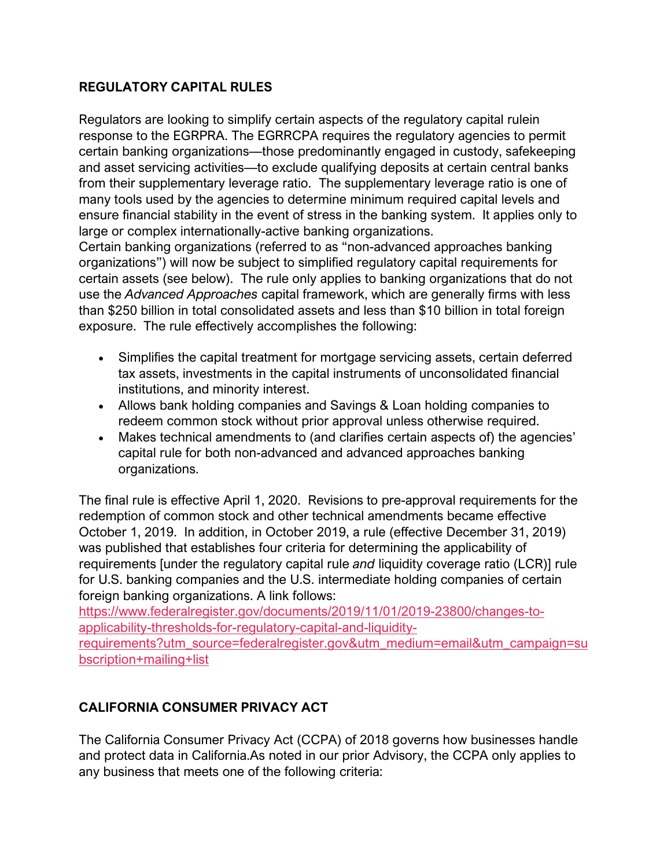## **REGULATORY CAPITAL RULES**

Regulators are looking to simplify certain aspects of the regulatory capital rulein response to the EGRPRA. The EGRRCPA requires the regulatory agencies to permit certain banking organizations—those predominantly engaged in custody, safekeeping and asset servicing activities—to exclude qualifying deposits at certain central banks from their supplementary leverage ratio. The supplementary leverage ratio is one of many tools used by the agencies to determine minimum required capital levels and ensure financial stability in the event of stress in the banking system. It applies only to large or complex internationally-active banking organizations.

Certain banking organizations (referred to as "non-advanced approaches banking organizations") will now be subject to simplified regulatory capital requirements for certain assets (see below). The rule only applies to banking organizations that do not use the *Advanced Approaches* capital framework, which are generally firms with less than \$250 billion in total consolidated assets and less than \$10 billion in total foreign exposure. The rule effectively accomplishes the following:

- Simplifies the capital treatment for mortgage servicing assets, certain deferred tax assets, investments in the capital instruments of unconsolidated financial institutions, and minority interest.
- Allows bank holding companies and Savings & Loan holding companies to redeem common stock without prior approval unless otherwise required.
- Makes technical amendments to (and clarifies certain aspects of) the agencies' capital rule for both non-advanced and advanced approaches banking organizations.

The final rule is effective April 1, 2020. Revisions to pre-approval requirements for the redemption of common stock and other technical amendments became effective October 1, 2019. In addition, in October 2019, a rule (effective December 31, 2019) was published that establishes four criteria for determining the applicability of requirements [under the regulatory capital rule *and* liquidity coverage ratio (LCR)] rule for U.S. banking companies and the U.S. intermediate holding companies of certain foreign banking organizations. A link follows:

[https://www.federalregister.gov/documents/2019/11/01/2019-23800/changes-to](https://www.federalregister.gov/documents/2019/11/01/2019-23800/changes-to-applicability-thresholds-for-regulatory-capital-and-liquidity-requirements?utm_source=federalregister.gov&utm_medium=email&utm_campaign=subscription+mailing+list)[applicability-thresholds-for-regulatory-capital-and-liquidity-](https://www.federalregister.gov/documents/2019/11/01/2019-23800/changes-to-applicability-thresholds-for-regulatory-capital-and-liquidity-requirements?utm_source=federalregister.gov&utm_medium=email&utm_campaign=subscription+mailing+list)

[requirements?utm\\_source=federalregister.gov&utm\\_medium=email&utm\\_campaign=su](https://www.federalregister.gov/documents/2019/11/01/2019-23800/changes-to-applicability-thresholds-for-regulatory-capital-and-liquidity-requirements?utm_source=federalregister.gov&utm_medium=email&utm_campaign=subscription+mailing+list) [bscription+mailing+list](https://www.federalregister.gov/documents/2019/11/01/2019-23800/changes-to-applicability-thresholds-for-regulatory-capital-and-liquidity-requirements?utm_source=federalregister.gov&utm_medium=email&utm_campaign=subscription+mailing+list)

## **CALIFORNIA CONSUMER PRIVACY ACT**

The California Consumer Privacy Act (CCPA) of 2018 governs how businesses handle and protect data in California.As noted in our prior Advisory, the CCPA only applies to any business that meets one of the following criteria: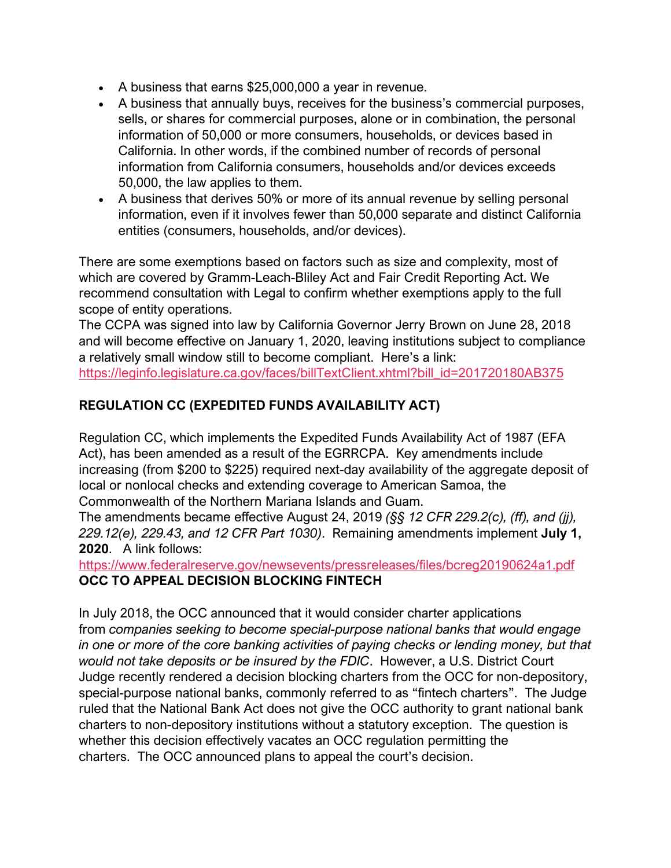- A business that earns \$25,000,000 a year in revenue.
- A business that annually buys, receives for the business's commercial purposes, sells, or shares for commercial purposes, alone or in combination, the personal information of 50,000 or more consumers, households, or devices based in California. In other words, if the combined number of records of personal information from California consumers, households and/or devices exceeds 50,000, the law applies to them.
- A business that derives 50% or more of its annual revenue by selling personal information, even if it involves fewer than 50,000 separate and distinct California entities (consumers, households, and/or devices).

There are some exemptions based on factors such as size and complexity, most of which are covered by Gramm-Leach-Bliley Act and Fair Credit Reporting Act. We recommend consultation with Legal to confirm whether exemptions apply to the full scope of entity operations.

The CCPA was signed into law by California Governor Jerry Brown on June 28, 2018 and will become effective on January 1, 2020, leaving institutions subject to compliance a relatively small window still to become compliant. Here's a link: [https://leginfo.legislature.ca.gov/faces/billTextClient.xhtml?bill\\_id=201720180AB375](https://leginfo.legislature.ca.gov/faces/billTextClient.xhtml?bill_id=201720180AB375)

# **REGULATION CC (EXPEDITED FUNDS AVAILABILITY ACT)**

Regulation CC, which implements the Expedited Funds Availability Act of 1987 (EFA Act), has been amended as a result of the EGRRCPA. Key amendments include increasing (from \$200 to \$225) required next-day availability of the aggregate deposit of local or nonlocal checks and extending coverage to American Samoa, the Commonwealth of the Northern Mariana Islands and Guam.

The amendments became effective August 24, 2019 *(§§ 12 CFR 229.2(c), (ff), and (jj), 229.12(e), 229.43, and 12 CFR Part 1030)*. Remaining amendments implement **July 1, 2020**. A link follows:

#### <https://www.federalreserve.gov/newsevents/pressreleases/files/bcreg20190624a1.pdf> **OCC TO APPEAL DECISION BLOCKING FINTECH**

In July 2018, the OCC announced that it would consider charter applications from *companies seeking to become special-purpose national banks that would engage in one or more of the core banking activities of paying checks or lending money, but that would not take deposits or be insured by the FDIC*. However, a U.S. District Court Judge recently rendered a decision blocking charters from the OCC for non-depository, special-purpose national banks, commonly referred to as "fintech charters". The Judge ruled that the National Bank Act does not give the OCC authority to grant national bank charters to non-depository institutions without a statutory exception. The question is whether this decision effectively vacates an OCC regulation permitting the charters. The OCC announced plans to appeal the court's decision.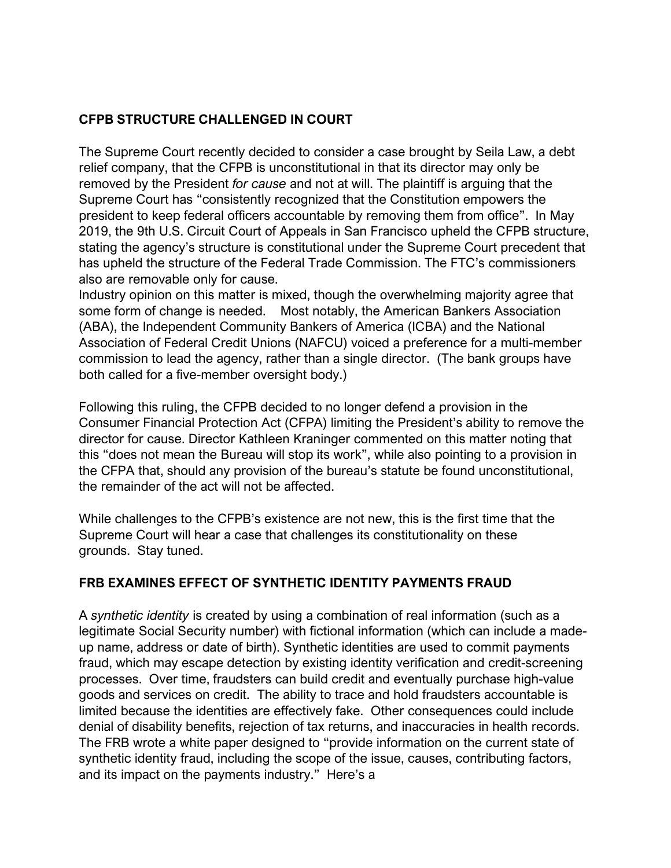## **CFPB STRUCTURE CHALLENGED IN COURT**

The Supreme Court recently decided to consider a case brought by Seila Law, a debt relief company, that the CFPB is unconstitutional in that its director may only be removed by the President *for cause* and not at will. The plaintiff is arguing that the Supreme Court has "consistently recognized that the Constitution empowers the president to keep federal officers accountable by removing them from office". In May 2019, the 9th U.S. Circuit Court of Appeals in San Francisco upheld the CFPB structure, stating the agency's structure is constitutional under the Supreme Court precedent that has upheld the structure of the Federal Trade Commission. The FTC's commissioners also are removable only for cause.

Industry opinion on this matter is mixed, though the overwhelming majority agree that some form of change is needed. Most notably, the American Bankers Association (ABA), the Independent Community Bankers of America (ICBA) and the National Association of Federal Credit Unions (NAFCU) voiced a preference for a multi-member commission to lead the agency, rather than a single director. (The bank groups have both called for a five-member oversight body.)

Following this ruling, the CFPB decided to no longer defend a provision in the Consumer Financial Protection Act (CFPA) limiting the President's ability to remove the director for cause. Director Kathleen Kraninger commented on this matter noting that this "does not mean the Bureau will stop its work", while also pointing to a provision in the CFPA that, should any provision of the bureau's statute be found unconstitutional, the remainder of the act will not be affected.

While challenges to the CFPB's existence are not new, this is the first time that the Supreme Court will hear a case that challenges its constitutionality on these grounds. Stay tuned.

#### **FRB EXAMINES EFFECT OF SYNTHETIC IDENTITY PAYMENTS FRAUD**

A *synthetic identity* is created by using a combination of real information (such as a legitimate Social Security number) with fictional information (which can include a madeup name, address or date of birth). Synthetic identities are used to commit payments fraud, which may escape detection by existing identity verification and credit-screening processes. Over time, fraudsters can build credit and eventually purchase high-value goods and services on credit. The ability to trace and hold fraudsters accountable is limited because the identities are effectively fake. Other consequences could include denial of disability benefits, rejection of tax returns, and inaccuracies in health records. The FRB wrote a white paper designed to "provide information on the current state of synthetic identity fraud, including the scope of the issue, causes, contributing factors, and its impact on the payments industry." Here's a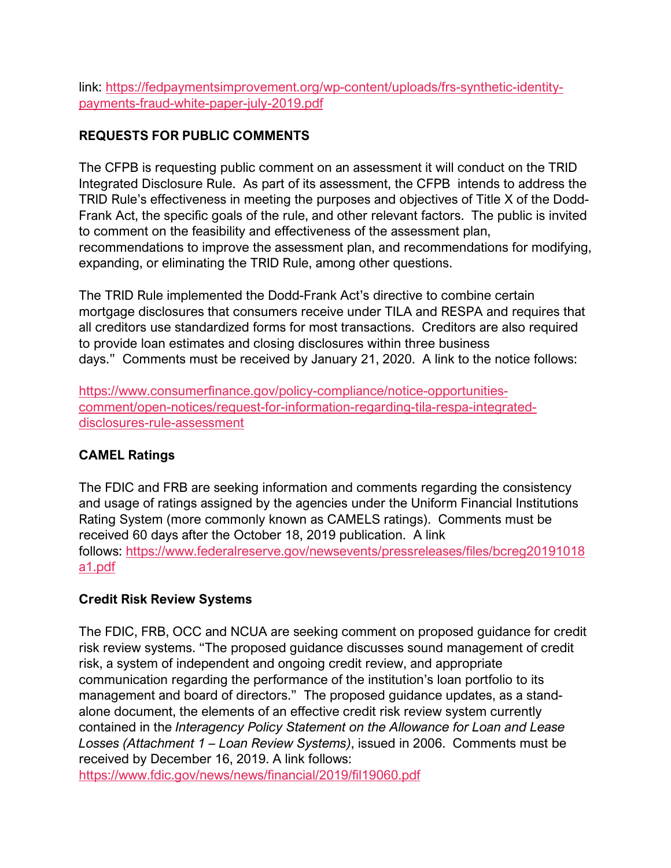link: [https://fedpaymentsimprovement.org/wp-content/uploads/frs-synthetic-identity](https://fedpaymentsimprovement.org/wp-content/uploads/frs-synthetic-identity-payments-fraud-white-paper-july-2019.pdf)[payments-fraud-white-paper-july-2019.pdf](https://fedpaymentsimprovement.org/wp-content/uploads/frs-synthetic-identity-payments-fraud-white-paper-july-2019.pdf)

## **REQUESTS FOR PUBLIC COMMENTS**

The CFPB is requesting public comment on an assessment it will conduct on the TRID Integrated Disclosure Rule. As part of its assessment, the CFPB intends to address the TRID Rule's effectiveness in meeting the purposes and objectives of Title X of the Dodd-Frank Act, the specific goals of the rule, and other relevant factors. The public is invited to comment on the feasibility and effectiveness of the assessment plan, recommendations to improve the assessment plan, and recommendations for modifying, expanding, or eliminating the TRID Rule, among other questions.

The TRID Rule implemented the Dodd-Frank Act's directive to combine certain mortgage disclosures that consumers receive under TILA and RESPA and requires that all creditors use standardized forms for most transactions. Creditors are also required to provide loan estimates and closing disclosures within three business days." Comments must be received by January 21, 2020. A link to the notice follows:

[https://www.consumerfinance.gov/policy-compliance/notice-opportunities](https://www.consumerfinance.gov/policy-compliance/notice-opportunities-comment/open-notices/request-for-information-regarding-tila-respa-integrated-disclosures-rule-assessment/)[comment/open-notices/request-for-information-regarding-tila-respa-integrated](https://www.consumerfinance.gov/policy-compliance/notice-opportunities-comment/open-notices/request-for-information-regarding-tila-respa-integrated-disclosures-rule-assessment/)[disclosures-rule-assessment](https://www.consumerfinance.gov/policy-compliance/notice-opportunities-comment/open-notices/request-for-information-regarding-tila-respa-integrated-disclosures-rule-assessment/)

#### **CAMEL Ratings**

The FDIC and FRB are seeking information and comments regarding the consistency and usage of ratings assigned by the agencies under the Uniform Financial Institutions Rating System (more commonly known as CAMELS ratings). Comments must be received 60 days after the October 18, 2019 publication. A link follows: [https://www.federalreserve.gov/newsevents/pressreleases/files/bcreg20191018](https://www.federalreserve.gov/newsevents/pressreleases/files/bcreg20191018a1.pdf) [a1.pdf](https://www.federalreserve.gov/newsevents/pressreleases/files/bcreg20191018a1.pdf)

#### **Credit Risk Review Systems**

The FDIC, FRB, OCC and NCUA are seeking comment on proposed guidance for credit risk review systems. "The proposed guidance discusses sound management of credit risk, a system of independent and ongoing credit review, and appropriate communication regarding the performance of the institution's loan portfolio to its management and board of directors." The proposed guidance updates, as a standalone document, the elements of an effective credit risk review system currently contained in the *Interagency Policy Statement on the Allowance for Loan and Lease Losses (Attachment 1 – Loan Review Systems)*, issued in 2006. Comments must be received by December 16, 2019. A link follows:

<https://www.fdic.gov/news/news/financial/2019/fil19060.pdf>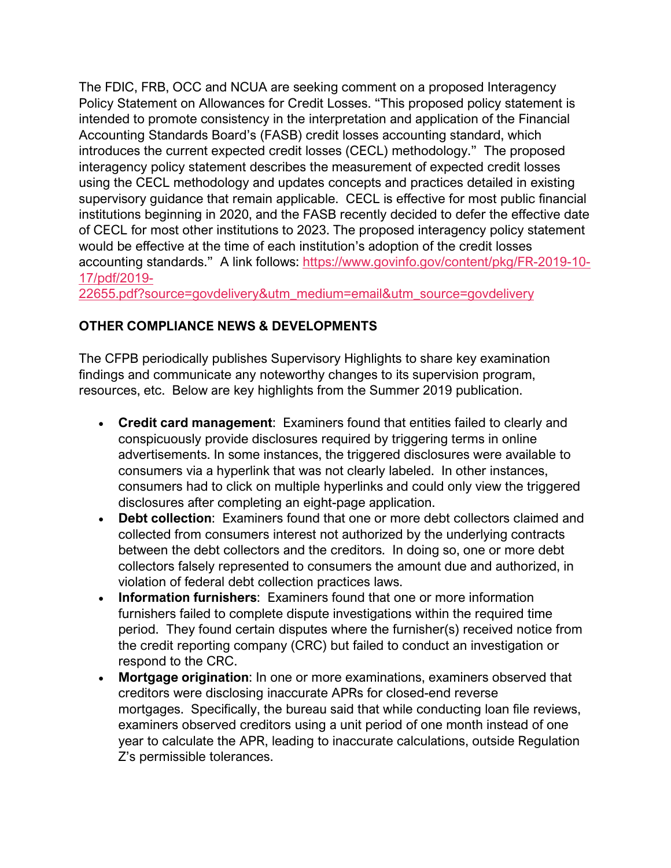The FDIC, FRB, OCC and NCUA are seeking comment on a proposed Interagency Policy Statement on Allowances for Credit Losses. "This proposed policy statement is intended to promote consistency in the interpretation and application of the Financial Accounting Standards Board's (FASB) credit losses accounting standard, which introduces the current expected credit losses (CECL) methodology." The proposed interagency policy statement describes the measurement of expected credit losses using the CECL methodology and updates concepts and practices detailed in existing supervisory guidance that remain applicable. CECL is effective for most public financial institutions beginning in 2020, and the FASB recently decided to defer the effective date of CECL for most other institutions to 2023. The proposed interagency policy statement would be effective at the time of each institution's adoption of the credit losses accounting standards." A link follows: [https://www.govinfo.gov/content/pkg/FR-2019-10-](https://www.govinfo.gov/content/pkg/FR-2019-10-17/pdf/2019-22655.pdf?source=govdelivery&utm_medium=email&utm_source=govdelivery) [17/pdf/2019-](https://www.govinfo.gov/content/pkg/FR-2019-10-17/pdf/2019-22655.pdf?source=govdelivery&utm_medium=email&utm_source=govdelivery)

[22655.pdf?source=govdelivery&utm\\_medium=email&utm\\_source=govdelivery](https://www.govinfo.gov/content/pkg/FR-2019-10-17/pdf/2019-22655.pdf?source=govdelivery&utm_medium=email&utm_source=govdelivery)

## **OTHER COMPLIANCE NEWS & DEVELOPMENTS**

The CFPB periodically publishes Supervisory Highlights to share key examination findings and communicate any noteworthy changes to its supervision program, resources, etc. Below are key highlights from the Summer 2019 publication.

- **Credit card management**: Examiners found that entities failed to clearly and conspicuously provide disclosures required by triggering terms in online advertisements. In some instances, the triggered disclosures were available to consumers via a hyperlink that was not clearly labeled. In other instances, consumers had to click on multiple hyperlinks and could only view the triggered disclosures after completing an eight-page application.
- **Debt collection**: Examiners found that one or more debt collectors claimed and collected from consumers interest not authorized by the underlying contracts between the debt collectors and the creditors. In doing so, one or more debt collectors falsely represented to consumers the amount due and authorized, in violation of federal debt collection practices laws.
- **Information furnishers**: Examiners found that one or more information furnishers failed to complete dispute investigations within the required time period. They found certain disputes where the furnisher(s) received notice from the credit reporting company (CRC) but failed to conduct an investigation or respond to the CRC.
- **Mortgage origination**: In one or more examinations, examiners observed that creditors were disclosing inaccurate APRs for closed-end reverse mortgages. Specifically, the bureau said that while conducting loan file reviews, examiners observed creditors using a unit period of one month instead of one year to calculate the APR, leading to inaccurate calculations, outside Regulation Z's permissible tolerances.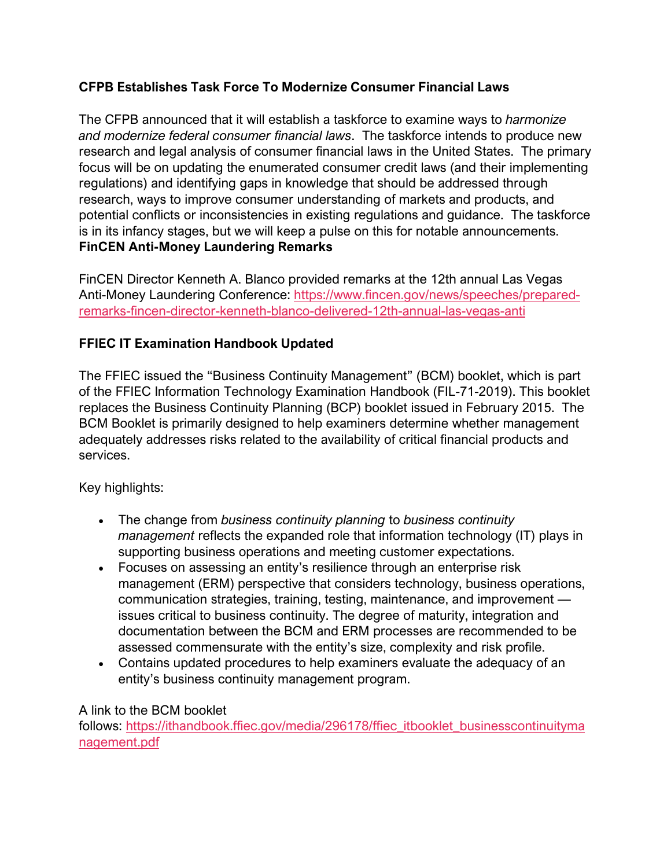## **CFPB Establishes Task Force To Modernize Consumer Financial Laws**

The CFPB announced that it will establish a taskforce to examine ways to *harmonize and modernize federal consumer financial laws*. The taskforce intends to produce new research and legal analysis of consumer financial laws in the United States. The primary focus will be on updating the enumerated consumer credit laws (and their implementing regulations) and identifying gaps in knowledge that should be addressed through research, ways to improve consumer understanding of markets and products, and potential conflicts or inconsistencies in existing regulations and guidance. The taskforce is in its infancy stages, but we will keep a pulse on this for notable announcements. **FinCEN Anti-Money Laundering Remarks**

FinCEN Director Kenneth A. Blanco provided remarks at the 12th annual Las Vegas Anti-Money Laundering Conference: [https://www.fincen.gov/news/speeches/prepared](https://www.fincen.gov/news/speeches/prepared-remarks-fincen-director-kenneth-blanco-delivered-12th-annual-las-vegas-anti)[remarks-fincen-director-kenneth-blanco-delivered-12th-annual-las-vegas-anti](https://www.fincen.gov/news/speeches/prepared-remarks-fincen-director-kenneth-blanco-delivered-12th-annual-las-vegas-anti)

## **FFIEC IT Examination Handbook Updated**

The FFIEC issued the "Business Continuity Management" (BCM) booklet, which is part of the FFIEC Information Technology Examination Handbook (FIL-71-2019). This booklet replaces the Business Continuity Planning (BCP) booklet issued in February 2015. The BCM Booklet is primarily designed to help examiners determine whether management adequately addresses risks related to the availability of critical financial products and services.

Key highlights:

- The change from *business continuity planning* to *business continuity management* reflects the expanded role that information technology (IT) plays in supporting business operations and meeting customer expectations.
- Focuses on assessing an entity's resilience through an enterprise risk management (ERM) perspective that considers technology, business operations, communication strategies, training, testing, maintenance, and improvement issues critical to business continuity. The degree of maturity, integration and documentation between the BCM and ERM processes are recommended to be assessed commensurate with the entity's size, complexity and risk profile.
- Contains updated procedures to help examiners evaluate the adequacy of an entity's business continuity management program.

#### A link to the BCM booklet

follows: [https://ithandbook.ffiec.gov/media/296178/ffiec\\_itbooklet\\_businesscontinuityma](https://ithandbook.ffiec.gov/media/296178/ffiec_itbooklet_businesscontinuitymanagement.pdf) [nagement.pdf](https://ithandbook.ffiec.gov/media/296178/ffiec_itbooklet_businesscontinuitymanagement.pdf)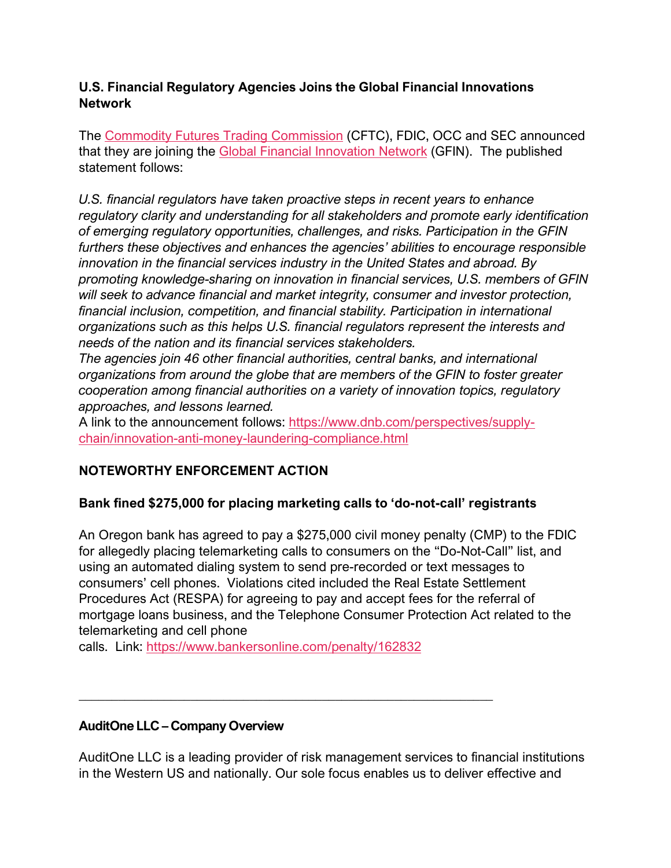#### **U.S. Financial Regulatory Agencies Joins the Global Financial Innovations Network**

The [Commodity Futures Trading Commission](https://nam04.safelinks.protection.outlook.com/?url=https%3A%2F%2Flnks.gd%2Fl%2FeyJhbGciOiJIUzI1NiJ9.eyJidWxsZXRpbl9saW5rX2lkIjoxMDAsInVyaSI6ImJwMjpjbGljayIsImJ1bGxldGluX2lkIjoiMjAxOTEwMjQuMTE5NjM0NDEiLCJ1cmwiOiJodHRwczovL2NmdGMuZ292Lz9zb3VyY2U9Z292ZGVsaXZlcnkmdXRtX21lZGl1bT1lbWFpbCZ1dG1fc291cmNlPWdvdmRlbGl2ZXJ5In0.IV-9p3GzHyJDYDgH1ke395Z0t9_fK3CMjyzN_zMD1g4%2Fbr%2F70493593802-l&data=02%7C01%7Cceleste.burton%40auditonellc.com%7Cce97f5d2402c42588edd08d75887e872%7C0f98c19b4a28494ba957b93e4ea2820d%7C0%7C0%7C637075213064936281&sdata=spHgxjKI6%2Fly%2BgL1jptV0KWGm2OEaQ6AfekrM5TZ5ic%3D&reserved=0) (CFTC), FDIC, OCC and SEC announced that they are joining the [Global Financial Innovation Network](https://nam04.safelinks.protection.outlook.com/?url=https%3A%2F%2Flnks.gd%2Fl%2FeyJhbGciOiJIUzI1NiJ9.eyJidWxsZXRpbl9saW5rX2lkIjoxMDQsInVyaSI6ImJwMjpjbGljayIsImJ1bGxldGluX2lkIjoiMjAxOTEwMjQuMTE5NjM0NDEiLCJ1cmwiOiJodHRwczovL3d3dy5mY2Eub3JnLnVrL2Zpcm1zL2dsb2JhbC1maW5hbmNpYWwtaW5ub3ZhdGlvbi1uZXR3b3JrP3NvdXJjZT1nb3ZkZWxpdmVyeSZ1dG1fbWVkaXVtPWVtYWlsJnV0bV9zb3VyY2U9Z292ZGVsaXZlcnkifQ.XoJchGooV0ih15fubsdF67sVjA7GDSyGHEOErB8K_Bk%2Fbr%2F70493593802-l&data=02%7C01%7Cceleste.burton%40auditonellc.com%7Cce97f5d2402c42588edd08d75887e872%7C0f98c19b4a28494ba957b93e4ea2820d%7C0%7C0%7C637075213064966266&sdata=53Zw%2FYMFmsrFY6j%2BhMKQS7uILU6qshQ52BAKVwYx00A%3D&reserved=0) (GFIN). The published statement follows:

*U.S. financial regulators have taken proactive steps in recent years to enhance regulatory clarity and understanding for all stakeholders and promote early identification of emerging regulatory opportunities, challenges, and risks. Participation in the GFIN furthers these objectives and enhances the agencies' abilities to encourage responsible innovation in the financial services industry in the United States and abroad. By promoting knowledge-sharing on innovation in financial services, U.S. members of GFIN will seek to advance financial and market integrity, consumer and investor protection, financial inclusion, competition, and financial stability. Participation in international organizations such as this helps U.S. financial regulators represent the interests and needs of the nation and its financial services stakeholders.*

*The agencies join 46 other financial authorities, central banks, and international organizations from around the globe that are members of the GFIN to foster greater cooperation among financial authorities on a variety of innovation topics, regulatory approaches, and lessons learned.*

A link to the announcement follows: [https://www.dnb.com/perspectives/supply](https://www.dnb.com/perspectives/supply-chain/innovation-anti-money-laundering-compliance.html?utm_campaign=PR_CCO_MU_TL_RE_1910_CCO%20Newsletter%20Oct_NL_LRN&utm_medium=email&utm_source=Eloqua&elq_mid=16405&elq_cid=19505989)[chain/innovation-anti-money-laundering-compliance.html](https://www.dnb.com/perspectives/supply-chain/innovation-anti-money-laundering-compliance.html?utm_campaign=PR_CCO_MU_TL_RE_1910_CCO%20Newsletter%20Oct_NL_LRN&utm_medium=email&utm_source=Eloqua&elq_mid=16405&elq_cid=19505989)

## **NOTEWORTHY ENFORCEMENT ACTION**

#### **Bank fined \$275,000 for placing marketing calls to 'do-not-call' registrants**

An Oregon bank has agreed to pay a \$275,000 civil money penalty (CMP) to the FDIC for allegedly placing telemarketing calls to consumers on the "Do-Not-Call" list, and using an automated dialing system to send pre-recorded or text messages to consumers' cell phones. Violations cited included the Real Estate Settlement Procedures Act (RESPA) for agreeing to pay and accept fees for the referral of mortgage loans business, and the Telephone Consumer Protection Act related to the telemarketing and cell phone

calls. Link: <https://www.bankersonline.com/penalty/162832>

*\_\_\_\_\_\_\_\_\_\_\_\_\_\_\_\_\_\_\_\_\_\_\_\_\_\_\_\_\_\_\_\_\_\_\_\_\_\_\_\_\_\_\_\_\_\_\_\_\_\_\_\_\_\_\_\_\_\_\_\_\_\_\_*

#### **AuditOne LLC – Company Overview**

AuditOne LLC is a leading provider of risk management services to financial institutions in the Western US and nationally. Our sole focus enables us to deliver effective and